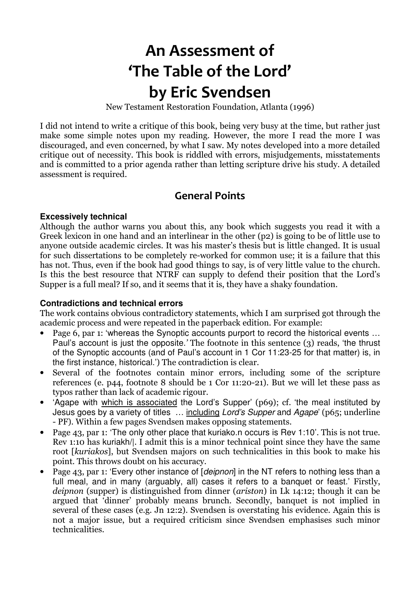# An Assessment of 'The Table of the Lord' by Eric Svendsen

New Testament Restoration Foundation, Atlanta (1996)

I did not intend to write a critique of this book, being very busy at the time, but rather just make some simple notes upon my reading. However, the more I read the more I was discouraged, and even concerned, by what I saw. My notes developed into a more detailed critique out of necessity. This book is riddled with errors, misjudgements, misstatements and is committed to a prior agenda rather than letting scripture drive his study. A detailed assessment is required.

# General Points

## **Excessively technical**

Although the author warns you about this, any book which suggests you read it with a Greek lexicon in one hand and an interlinear in the other (p2) is going to be of little use to anyone outside academic circles. It was his master's thesis but is little changed. It is usual for such dissertations to be completely re-worked for common use; it is a failure that this has not. Thus, even if the book had good things to say, is of very little value to the church. Is this the best resource that NTRF can supply to defend their position that the Lord's Supper is a full meal? If so, and it seems that it is, they have a shaky foundation.

## **Contradictions and technical errors**

The work contains obvious contradictory statements, which I am surprised got through the academic process and were repeated in the paperback edition. For example:

- Page 6, par 1: 'whereas the Synoptic accounts purport to record the historical events ... Paul's account is just the opposite.' The footnote in this sentence (3) reads, 'the thrust of the Synoptic accounts (and of Paul's account in 1 Cor 11:23-25 for that matter) is, in the first instance, historical.') The contradiction is clear.
- Several of the footnotes contain minor errors, including some of the scripture references (e. p44, footnote 8 should be 1 Cor 11:20-21). But we will let these pass as typos rather than lack of academic rigour.
- 'Agape with which is associated the Lord's Supper' (p69); cf. 'the meal instituted by Jesus goes by a variety of titles ... including Lord's Supper and Agape' (p65; underline - PF). Within a few pages Svendsen makes opposing statements.
- Page 43, par 1: 'The only other place that kuriako.n occurs is Rev 1:10'. This is not true. Rev 1:10 has kuriakh/|. I admit this is a minor technical point since they have the same root [kuriakos], but Svendsen majors on such technicalities in this book to make his point. This throws doubt on his accuracy.
- Page 43, par 1: 'Every other instance of [deipnon] in the NT refers to nothing less than a full meal, and in many (arguably, all) cases it refers to a banquet or feast.' Firstly, deipnon (supper) is distinguished from dinner (ariston) in Lk 14:12; though it can be argued that 'dinner' probably means brunch. Secondly, banquet is not implied in several of these cases (e.g. Jn 12:2). Svendsen is overstating his evidence. Again this is not a major issue, but a required criticism since Svendsen emphasises such minor technicalities.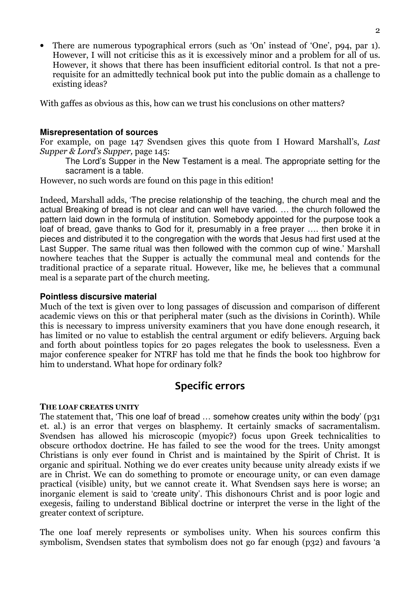• There are numerous typographical errors (such as 'On' instead of 'One', p94, par 1). However, I will not criticise this as it is excessively minor and a problem for all of us. However, it shows that there has been insufficient editorial control. Is that not a prerequisite for an admittedly technical book put into the public domain as a challenge to existing ideas?

With gaffes as obvious as this, how can we trust his conclusions on other matters?

## **Misrepresentation of sources**

For example, on page 147 Svendsen gives this quote from I Howard Marshall's, Last Supper & Lord's Supper, page 145:

The Lord's Supper in the New Testament is a meal. The appropriate setting for the sacrament is a table.

However, no such words are found on this page in this edition!

Indeed, Marshall adds, 'The precise relationship of the teaching, the church meal and the actual Breaking of bread is not clear and can well have varied. … the church followed the pattern laid down in the formula of institution. Somebody appointed for the purpose took a loaf of bread, gave thanks to God for it, presumably in a free prayer …. then broke it in pieces and distributed it to the congregation with the words that Jesus had first used at the Last Supper. The same ritual was then followed with the common cup of wine.' Marshall nowhere teaches that the Supper is actually the communal meal and contends for the traditional practice of a separate ritual. However, like me, he believes that a communal meal is a separate part of the church meeting.

## **Pointless discursive material**

Much of the text is given over to long passages of discussion and comparison of different academic views on this or that peripheral mater (such as the divisions in Corinth). While this is necessary to impress university examiners that you have done enough research, it has limited or no value to establish the central argument or edify believers. Arguing back and forth about pointless topics for 20 pages relegates the book to uselessness. Even a major conference speaker for NTRF has told me that he finds the book too highbrow for him to understand. What hope for ordinary folk?

# Specific errors

#### THE LOAF CREATES UNITY

The statement that, 'This one loaf of bread  $\ldots$  somehow creates unity within the body' (p31) et. al.) is an error that verges on blasphemy. It certainly smacks of sacramentalism. Svendsen has allowed his microscopic (myopic?) focus upon Greek technicalities to obscure orthodox doctrine. He has failed to see the wood for the trees. Unity amongst Christians is only ever found in Christ and is maintained by the Spirit of Christ. It is organic and spiritual. Nothing we do ever creates unity because unity already exists if we are in Christ. We can do something to promote or encourage unity, or can even damage practical (visible) unity, but we cannot create it. What Svendsen says here is worse; an inorganic element is said to 'create unity'. This dishonours Christ and is poor logic and exegesis, failing to understand Biblical doctrine or interpret the verse in the light of the greater context of scripture.

The one loaf merely represents or symbolises unity. When his sources confirm this symbolism, Svendsen states that symbolism does not go far enough (p32) and favours 'a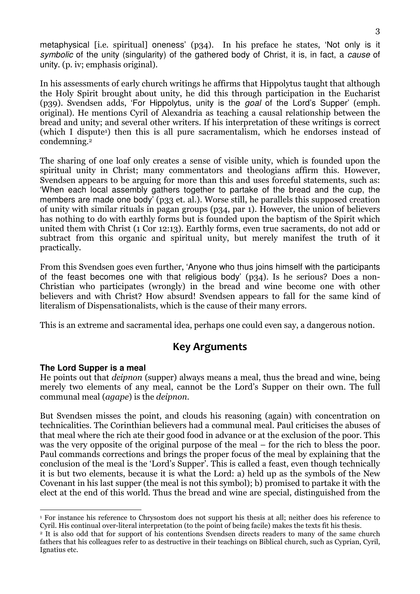metaphysical [i.e. spiritual] oneness' (p34). In his preface he states, 'Not only is it symbolic of the unity (singularity) of the gathered body of Christ, it is, in fact, a cause of unity. (p. iv; emphasis original).

In his assessments of early church writings he affirms that Hippolytus taught that although the Holy Spirit brought about unity, he did this through participation in the Eucharist (p39). Svendsen adds, 'For Hippolytus, unity is the goal of the Lord's Supper' (emph. original). He mentions Cyril of Alexandria as teaching a causal relationship between the bread and unity; and several other writers. If his interpretation of these writings is correct (which I dispute1) then this is all pure sacramentalism, which he endorses instead of condemning.<sup>2</sup>

The sharing of one loaf only creates a sense of visible unity, which is founded upon the spiritual unity in Christ; many commentators and theologians affirm this. However, Svendsen appears to be arguing for more than this and uses forceful statements, such as: 'When each local assembly gathers together to partake of the bread and the cup, the members are made one body' (p33 et. al.). Worse still, he parallels this supposed creation of unity with similar rituals in pagan groups (p34, par 1). However, the union of believers has nothing to do with earthly forms but is founded upon the baptism of the Spirit which united them with Christ (1 Cor 12:13). Earthly forms, even true sacraments, do not add or subtract from this organic and spiritual unity, but merely manifest the truth of it practically.

From this Svendsen goes even further, 'Anyone who thus joins himself with the participants of the feast becomes one with that religious body' (p34). Is he serious? Does a non-Christian who participates (wrongly) in the bread and wine become one with other believers and with Christ? How absurd! Svendsen appears to fall for the same kind of literalism of Dispensationalists, which is the cause of their many errors.

This is an extreme and sacramental idea, perhaps one could even say, a dangerous notion.

# Key Arguments

## **The Lord Supper is a meal**

He points out that deipnon (supper) always means a meal, thus the bread and wine, being merely two elements of any meal, cannot be the Lord's Supper on their own. The full communal meal (agape) is the deipnon.

But Svendsen misses the point, and clouds his reasoning (again) with concentration on technicalities. The Corinthian believers had a communal meal. Paul criticises the abuses of that meal where the rich ate their good food in advance or at the exclusion of the poor. This was the very opposite of the original purpose of the meal – for the rich to bless the poor. Paul commands corrections and brings the proper focus of the meal by explaining that the conclusion of the meal is the 'Lord's Supper'. This is called a feast, even though technically it is but two elements, because it is what the Lord: a) held up as the symbols of the New Covenant in his last supper (the meal is not this symbol); b) promised to partake it with the elect at the end of this world. Thus the bread and wine are special, distinguished from the

 $\ddot{\phantom{a}}$ 1 For instance his reference to Chrysostom does not support his thesis at all; neither does his reference to Cyril. His continual over-literal interpretation (to the point of being facile) makes the texts fit his thesis.

<sup>&</sup>lt;sup>2</sup> It is also odd that for support of his contentions Svendsen directs readers to many of the same church fathers that his colleagues refer to as destructive in their teachings on Biblical church, such as Cyprian, Cyril, Ignatius etc.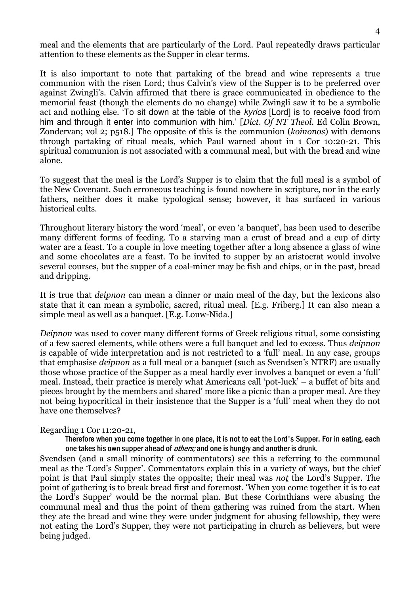meal and the elements that are particularly of the Lord. Paul repeatedly draws particular attention to these elements as the Supper in clear terms.

It is also important to note that partaking of the bread and wine represents a true communion with the risen Lord; thus Calvin's view of the Supper is to be preferred over against Zwingli's. Calvin affirmed that there is grace communicated in obedience to the memorial feast (though the elements do no change) while Zwingli saw it to be a symbolic act and nothing else. 'To sit down at the table of the kyrios [Lord] is to receive food from him and through it enter into communion with him.' [Dict. Of NT Theol. Ed Colin Brown, Zondervan; vol 2; p518.] The opposite of this is the communion (koinonos) with demons through partaking of ritual meals, which Paul warned about in 1 Cor 10:20-21. This spiritual communion is not associated with a communal meal, but with the bread and wine alone.

To suggest that the meal is the Lord's Supper is to claim that the full meal is a symbol of the New Covenant. Such erroneous teaching is found nowhere in scripture, nor in the early fathers, neither does it make typological sense; however, it has surfaced in various historical cults.

Throughout literary history the word 'meal', or even 'a banquet', has been used to describe many different forms of feeding. To a starving man a crust of bread and a cup of dirty water are a feast. To a couple in love meeting together after a long absence a glass of wine and some chocolates are a feast. To be invited to supper by an aristocrat would involve several courses, but the supper of a coal-miner may be fish and chips, or in the past, bread and dripping.

It is true that deipnon can mean a dinner or main meal of the day, but the lexicons also state that it can mean a symbolic, sacred, ritual meal. [E.g. Friberg.] It can also mean a simple meal as well as a banquet. [E.g. Louw-Nida.]

Deipnon was used to cover many different forms of Greek religious ritual, some consisting of a few sacred elements, while others were a full banquet and led to excess. Thus deipnon is capable of wide interpretation and is not restricted to a 'full' meal. In any case, groups that emphasise deipnon as a full meal or a banquet (such as Svendsen's NTRF) are usually those whose practice of the Supper as a meal hardly ever involves a banquet or even a 'full' meal. Instead, their practice is merely what Americans call 'pot-luck' – a buffet of bits and pieces brought by the members and shared' more like a picnic than a proper meal. Are they not being hypocritical in their insistence that the Supper is a 'full' meal when they do not have one themselves?

## Regarding 1 Cor 11:20-21,

Therefore when you come together in one place, it is not to eat the Lord's Supper. For in eating, each one takes his own supper ahead of *others;* and one is hungry and another is drunk.

Svendsen (and a small minority of commentators) see this a referring to the communal meal as the 'Lord's Supper'. Commentators explain this in a variety of ways, but the chief point is that Paul simply states the opposite; their meal was not the Lord's Supper. The point of gathering is to break bread first and foremost. 'When you come together it is to eat the Lord's Supper' would be the normal plan. But these Corinthians were abusing the communal meal and thus the point of them gathering was ruined from the start. When they ate the bread and wine they were under judgment for abusing fellowship, they were not eating the Lord's Supper, they were not participating in church as believers, but were being judged.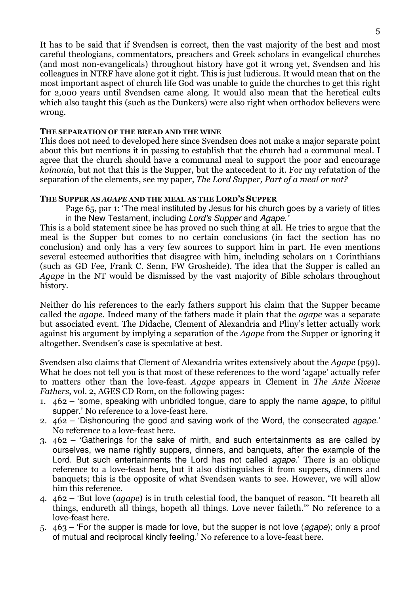It has to be said that if Svendsen is correct, then the vast majority of the best and most careful theologians, commentators, preachers and Greek scholars in evangelical churches (and most non-evangelicals) throughout history have got it wrong yet, Svendsen and his colleagues in NTRF have alone got it right. This is just ludicrous. It would mean that on the most important aspect of church life God was unable to guide the churches to get this right for 2,000 years until Svendsen came along. It would also mean that the heretical cults which also taught this (such as the Dunkers) were also right when orthodox believers were wrong.

## THE SEPARATION OF THE BREAD AND THE WINE

This does not need to developed here since Svendsen does not make a major separate point about this but mentions it in passing to establish that the church had a communal meal. I agree that the church should have a communal meal to support the poor and encourage koinonia, but not that this is the Supper, but the antecedent to it. For my refutation of the separation of the elements, see my paper, The Lord Supper, Part of a meal or not?

## THE SUPPER AS AGAPE AND THE MEAL AS THE LORD'S SUPPER

Page 65, par 1: 'The meal instituted by Jesus for his church goes by a variety of titles in the New Testament, including Lord's Supper and Agape.'

This is a bold statement since he has proved no such thing at all. He tries to argue that the meal is the Supper but comes to no certain conclusions (in fact the section has no conclusion) and only has a very few sources to support him in part. He even mentions several esteemed authorities that disagree with him, including scholars on 1 Corinthians (such as GD Fee, Frank C. Senn, FW Grosheide). The idea that the Supper is called an Agape in the NT would be dismissed by the vast majority of Bible scholars throughout history.

Neither do his references to the early fathers support his claim that the Supper became called the agape. Indeed many of the fathers made it plain that the agape was a separate but associated event. The Didache, Clement of Alexandria and Pliny's letter actually work against his argument by implying a separation of the Agape from the Supper or ignoring it altogether. Svendsen's case is speculative at best.

Svendsen also claims that Clement of Alexandria writes extensively about the Agape (p59). What he does not tell you is that most of these references to the word 'agape' actually refer to matters other than the love-feast. Agape appears in Clement in The Ante Nicene Fathers, vol. 2, AGES CD Rom, on the following pages:

- 1.  $462 5$  some, speaking with unbridled tongue, dare to apply the name *agape*, to pitiful supper.' No reference to a love-feast here.
- 2.  $462 1$  Dishonouring the good and saving work of the Word, the consecrated agape. No reference to a love-feast here.
- 3. 462 'Gatherings for the sake of mirth, and such entertainments as are called by ourselves, we name rightly suppers, dinners, and banquets, after the example of the Lord. But such entertainments the Lord has not called *agape*.' There is an oblique reference to a love-feast here, but it also distinguishes it from suppers, dinners and banquets; this is the opposite of what Svendsen wants to see. However, we will allow him this reference.
- 4. 462 'But love (agape) is in truth celestial food, the banquet of reason. "It beareth all things, endureth all things, hopeth all things. Love never faileth."' No reference to a love-feast here.
- 5.  $463 -$  For the supper is made for love, but the supper is not love (*agape*); only a proof of mutual and reciprocal kindly feeling.' No reference to a love-feast here.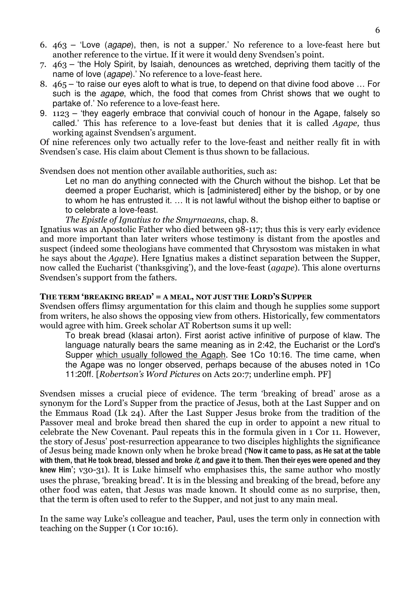- 6. 463 'Love (agape), then, is not a supper.' No reference to a love-feast here but another reference to the virtue. If it were it would deny Svendsen's point.
- 7. 463 'the Holy Spirit, by Isaiah, denounces as wretched, depriving them tacitly of the name of love (agape).' No reference to a love-feast here.
- 8. 465 'to raise our eyes aloft to what is true, to depend on that divine food above … For such is the *agape*, which, the food that comes from Christ shows that we ought to partake of.' No reference to a love-feast here.
- 9. 1123 'they eagerly embrace that convivial couch of honour in the Agape, falsely so called.' This has reference to a love-feast but denies that it is called Agape, thus working against Svendsen's argument.

Of nine references only two actually refer to the love-feast and neither really fit in with Svendsen's case. His claim about Clement is thus shown to be fallacious.

Svendsen does not mention other available authorities, such as:

Let no man do anything connected with the Church without the bishop. Let that be deemed a proper Eucharist, which is [administered] either by the bishop, or by one to whom he has entrusted it. … It is not lawful without the bishop either to baptise or to celebrate a love-feast.

The Epistle of Ignatius to the Smyrnaeans, chap. 8.

Ignatius was an Apostolic Father who died between 98-117; thus this is very early evidence and more important than later writers whose testimony is distant from the apostles and suspect (indeed some theologians have commented that Chrysostom was mistaken in what he says about the Agape). Here Ignatius makes a distinct separation between the Supper, now called the Eucharist ('thanksgiving'), and the love-feast (agape). This alone overturns Svendsen's support from the fathers.

## THE TERM 'BREAKING BREAD' = A MEAL, NOT JUST THE LORD'S SUPPER

Svendsen offers flimsy argumentation for this claim and though he supplies some support from writers, he also shows the opposing view from others. Historically, few commentators would agree with him. Greek scholar AT Robertson sums it up well:

To break bread (klasai arton). First aorist active infinitive of purpose of klaw. The language naturally bears the same meaning as in 2:42, the Eucharist or the Lord's Supper which usually followed the Agaph. See 1Co 10:16. The time came, when the Agape was no longer observed, perhaps because of the abuses noted in 1Co 11:20ff. [Robertson's Word Pictures on Acts 20:7; underline emph. PF]

Svendsen misses a crucial piece of evidence. The term 'breaking of bread' arose as a synonym for the Lord's Supper from the practice of Jesus, both at the Last Supper and on the Emmaus Road (Lk 24). After the Last Supper Jesus broke from the tradition of the Passover meal and broke bread then shared the cup in order to appoint a new ritual to celebrate the New Covenant. Paul repeats this in the formula given in 1 Cor 11. However, the story of Jesus' post-resurrection appearance to two disciples highlights the significance of Jesus being made known only when he broke bread ('Now it came to pass, as He sat at the table with them, that He took bread, blessed and broke *it*, and gave it to them. Then their eyes were opened and they knew Him'; v30-31). It is Luke himself who emphasises this, the same author who mostly uses the phrase, 'breaking bread'. It is in the blessing and breaking of the bread, before any other food was eaten, that Jesus was made known. It should come as no surprise, then, that the term is often used to refer to the Supper, and not just to any main meal.

In the same way Luke's colleague and teacher, Paul, uses the term only in connection with teaching on the Supper (1 Cor 10:16).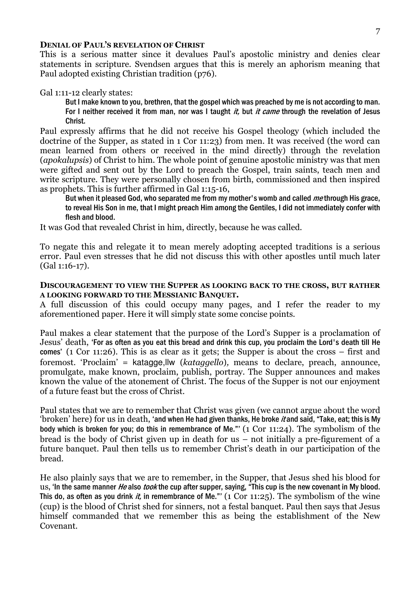#### DENIAL OF PAUL'S REVELATION OF CHRIST

This is a serious matter since it devalues Paul's apostolic ministry and denies clear statements in scripture. Svendsen argues that this is merely an aphorism meaning that Paul adopted existing Christian tradition (p76).

Gal 1:11-12 clearly states:

But I make known to you, brethren, that the gospel which was preached by me is not according to man. For I neither received it from man, nor was I taught *it*, but *it came* through the revelation of Jesus Christ.

Paul expressly affirms that he did not receive his Gospel theology (which included the doctrine of the Supper, as stated in 1 Cor 11:23) from men. It was received (the word can mean learned from others or received in the mind directly) through the revelation (apokalupsis) of Christ to him. The whole point of genuine apostolic ministry was that men were gifted and sent out by the Lord to preach the Gospel, train saints, teach men and write scripture. They were personally chosen from birth, commissioned and then inspired as prophets. This is further affirmed in Gal 1:15-16,

But when it pleased God, who separated me from my mother's womb and called *me* through His grace, to reveal His Son in me, that I might preach Him among the Gentiles, I did not immediately confer with flesh and blood.

It was God that revealed Christ in him, directly, because he was called.

To negate this and relegate it to mean merely adopting accepted traditions is a serious error. Paul even stresses that he did not discuss this with other apostles until much later (Gal 1:16-17).

#### DISCOURAGEMENT TO VIEW THE SUPPER AS LOOKING BACK TO THE CROSS, BUT RATHER A LOOKING FORWARD TO THE MESSIANIC BANQUET.

A full discussion of this could occupy many pages, and I refer the reader to my aforementioned paper. Here it will simply state some concise points.

Paul makes a clear statement that the purpose of the Lord's Supper is a proclamation of Jesus' death, 'For as often as you eat this bread and drink this cup, you proclaim the Lord's death till He comes' (1 Cor 11:26). This is as clear as it gets; the Supper is about the cross – first and foremost. 'Proclaim' = katagge, llw (kataggello), means to declare, preach, announce, promulgate, make known, proclaim, publish, portray. The Supper announces and makes known the value of the atonement of Christ. The focus of the Supper is not our enjoyment of a future feast but the cross of Christ.

Paul states that we are to remember that Christ was given (we cannot argue about the word 'broken' here) for us in death, 'and when He had given thanks, He broke it and said, "Take, eat; this is My body which is broken for you; do this in remembrance of Me."' (1 Cor 11:24). The symbolism of the bread is the body of Christ given up in death for us – not initially a pre-figurement of a future banquet. Paul then tells us to remember Christ's death in our participation of the bread.

He also plainly says that we are to remember, in the Supper, that Jesus shed his blood for us, 'In the same manner He also took the cup after supper, saying, "This cup is the new covenant in My blood. This do, as often as you drink *it*, in remembrance of Me."'  $(1 \text{ Cor } 11:25)$ . The symbolism of the wine (cup) is the blood of Christ shed for sinners, not a festal banquet. Paul then says that Jesus himself commanded that we remember this as being the establishment of the New Covenant.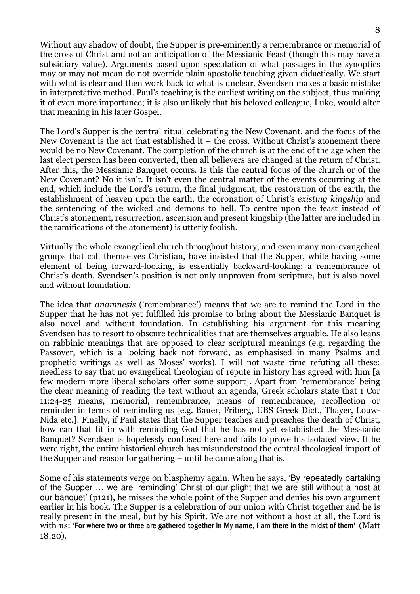Without any shadow of doubt, the Supper is pre-eminently a remembrance or memorial of the cross of Christ and not an anticipation of the Messianic Feast (though this may have a subsidiary value). Arguments based upon speculation of what passages in the synoptics may or may not mean do not override plain apostolic teaching given didactically. We start with what is clear and then work back to what is unclear. Svendsen makes a basic mistake in interpretative method. Paul's teaching is the earliest writing on the subject, thus making it of even more importance; it is also unlikely that his beloved colleague, Luke, would alter that meaning in his later Gospel.

The Lord's Supper is the central ritual celebrating the New Covenant, and the focus of the New Covenant is the act that established it – the cross. Without Christ's atonement there would be no New Covenant. The completion of the church is at the end of the age when the last elect person has been converted, then all believers are changed at the return of Christ. After this, the Messianic Banquet occurs. Is this the central focus of the church or of the New Covenant? No it isn't. It isn't even the central matter of the events occurring at the end, which include the Lord's return, the final judgment, the restoration of the earth, the establishment of heaven upon the earth, the coronation of Christ's existing kingship and the sentencing of the wicked and demons to hell. To centre upon the feast instead of Christ's atonement, resurrection, ascension and present kingship (the latter are included in the ramifications of the atonement) is utterly foolish.

Virtually the whole evangelical church throughout history, and even many non-evangelical groups that call themselves Christian, have insisted that the Supper, while having some element of being forward-looking, is essentially backward-looking; a remembrance of Christ's death. Svendsen's position is not only unproven from scripture, but is also novel and without foundation.

The idea that anamnesis ('remembrance') means that we are to remind the Lord in the Supper that he has not yet fulfilled his promise to bring about the Messianic Banquet is also novel and without foundation. In establishing his argument for this meaning Svendsen has to resort to obscure technicalities that are themselves arguable. He also leans on rabbinic meanings that are opposed to clear scriptural meanings (e.g. regarding the Passover, which is a looking back not forward, as emphasised in many Psalms and prophetic writings as well as Moses' works). I will not waste time refuting all these; needless to say that no evangelical theologian of repute in history has agreed with him [a few modern more liberal scholars offer some support]. Apart from 'remembrance' being the clear meaning of reading the text without an agenda, Greek scholars state that 1 Cor 11:24-25 means, memorial, remembrance, means of remembrance, recollection or reminder in terms of reminding us [e.g. Bauer, Friberg, UBS Greek Dict., Thayer, Louw-Nida etc.]. Finally, if Paul states that the Supper teaches and preaches the death of Christ, how can that fit in with reminding God that he has not yet established the Messianic Banquet? Svendsen is hopelessly confused here and fails to prove his isolated view. If he were right, the entire historical church has misunderstood the central theological import of the Supper and reason for gathering – until he came along that is.

Some of his statements verge on blasphemy again. When he says, 'By repeatedly partaking of the Supper … we are 'reminding' Christ of our plight that we are still without a host at our banquet' (p121), he misses the whole point of the Supper and denies his own argument earlier in his book. The Supper is a celebration of our union with Christ together and he is really present in the meal, but by his Spirit. We are not without a host at all, the Lord is with us: 'For where two or three are gathered together in My name, I am there in the midst of them' (Matt 18:20).